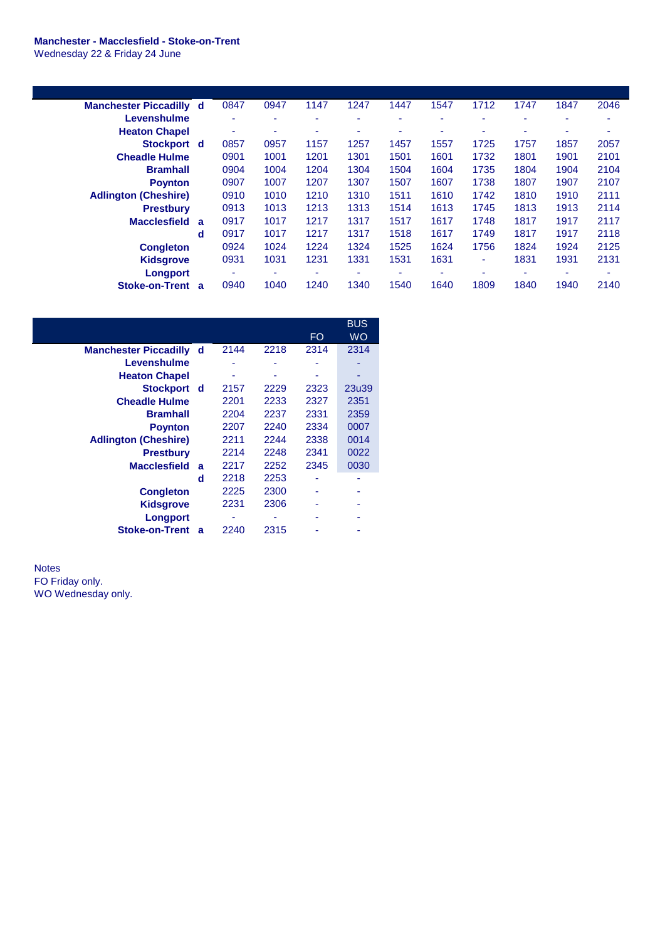## **Manchester - Macclesfield - Stoke-on-Trent** Wednesday 22 & Friday 24 June

**Manchester Piccadilly d** 0847 0947 1147 1247 1447 1547 1712 1747 1847 2046 **Levenshulme** - - - - - - - - - - **Heaton Chapel** - - - - - - - - - - **Stockport d** 0857 0957 1157 1257 1457 1557 1725 1757 1857 2057 **Cheadle Hulme** 0901 1001 1201 1301 1501 1601 1732 1801 1901 2101 **Bramhall** 0904 1004 1204 1304 1504 1604 1735 1804 1904 2104 **Poynton** 0907 1007 1207 1307 1507 1607 1738 1807 1907 2107 **Adlington (Cheshire)** 0910 1010 1210 1310 1511 1610 1742 1810 1910 2111 **Prestbury** 0913 1013 1213 1313 1514 1613 1745 1813 1913 2114 **Macclesfield a** 0917 1017 1217 1317 1517 1617 1748 1817 1917 2117 **d** 0917 1017 1217 1317 1518 1617 1749 1817 1917 2118 **Congleton** 0924 1024 1224 1324 1525 1624 1756 1824 1924 2125 **Kidsgrove** 0931 1031 1231 1331 1531 1631 - 1831 1931 2131 **Longport** - - - - - - - - - - **Stoke-on-Trent a** 0940 1040 1240 1340 1540 1640 1809 1840 1940 2140

|                              |   |      |      |      | <b>BUS</b> |
|------------------------------|---|------|------|------|------------|
|                              |   |      |      | FO   | WO         |
| <b>Manchester Piccadilly</b> | d | 2144 | 2218 | 2314 | 2314       |
| Levenshulme                  |   |      |      |      |            |
| <b>Heaton Chapel</b>         |   |      |      |      |            |
| Stockport d                  |   | 2157 | 2229 | 2323 | 23u39      |
| <b>Cheadle Hulme</b>         |   | 2201 | 2233 | 2327 | 2351       |
| <b>Bramhall</b>              |   | 2204 | 2237 | 2331 | 2359       |
| <b>Poynton</b>               |   | 2207 | 2240 | 2334 | 0007       |
| <b>Adlington (Cheshire)</b>  |   | 2211 | 2244 | 2338 | 0014       |
| <b>Prestbury</b>             |   | 2214 | 2248 | 2341 | 0022       |
| <b>Macclesfield</b>          | a | 2217 | 2252 | 2345 | 0030       |
|                              | d | 2218 | 2253 | ۰    |            |
| <b>Congleton</b>             |   | 2225 | 2300 | ٠    |            |
| <b>Kidsgrove</b>             |   | 2231 | 2306 |      |            |
| Longport                     |   |      |      |      |            |
| <b>Stoke-on-Trent</b>        | a | 2240 | 2315 |      |            |
|                              |   |      |      |      |            |

**Notes** FO Friday only. WO Wednesday only.